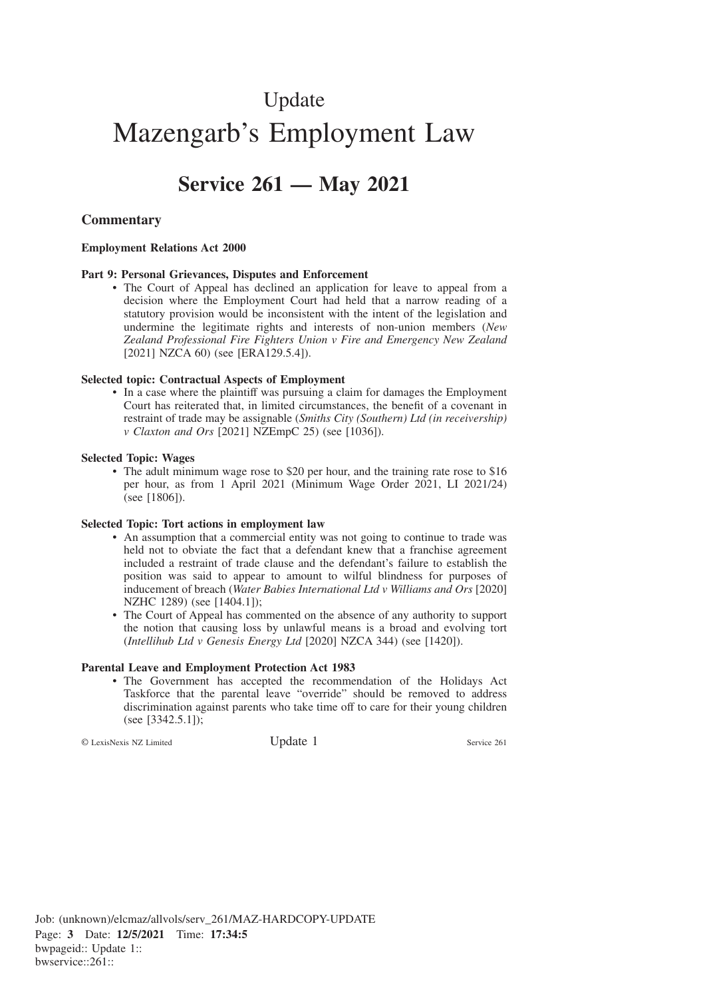# Update Mazengarb's Employment Law

# **Service 261 — May 2021**

# **Commentary**

#### **Employment Relations Act 2000**

#### **Part 9: Personal Grievances, Disputes and Enforcement**

• The Court of Appeal has declined an application for leave to appeal from a decision where the Employment Court had held that a narrow reading of a statutory provision would be inconsistent with the intent of the legislation and undermine the legitimate rights and interests of non-union members (*New Zealand Professional Fire Fighters Union v Fire and Emergency New Zealand* [2021] NZCA 60) (see [ERA129.5.4]).

#### **Selected topic: Contractual Aspects of Employment**

• In a case where the plaintiff was pursuing a claim for damages the Employment Court has reiterated that, in limited circumstances, the benefit of a covenant in restraint of trade may be assignable (*Smiths City (Southern) Ltd (in receivership) v Claxton and Ors* [2021] NZEmpC 25) (see [1036]).

#### **Selected Topic: Wages**

• The adult minimum wage rose to \$20 per hour, and the training rate rose to \$16 per hour, as from 1 April 2021 (Minimum Wage Order 2021, LI 2021/24) (see [1806]).

#### **Selected Topic: Tort actions in employment law**

- An assumption that a commercial entity was not going to continue to trade was held not to obviate the fact that a defendant knew that a franchise agreement included a restraint of trade clause and the defendant's failure to establish the position was said to appear to amount to wilful blindness for purposes of inducement of breach (*Water Babies International Ltd v Williams and Ors* [2020] NZHC 1289) (see [1404.1]);
- The Court of Appeal has commented on the absence of any authority to support the notion that causing loss by unlawful means is a broad and evolving tort (*Intellihub Ltd v Genesis Energy Ltd* [2020] NZCA 344) (see [1420]).

#### **Parental Leave and Employment Protection Act 1983**

• The Government has accepted the recommendation of the Holidays Act Taskforce that the parental leave "override" should be removed to address discrimination against parents who take time off to care for their young children (see [3342.5.1]);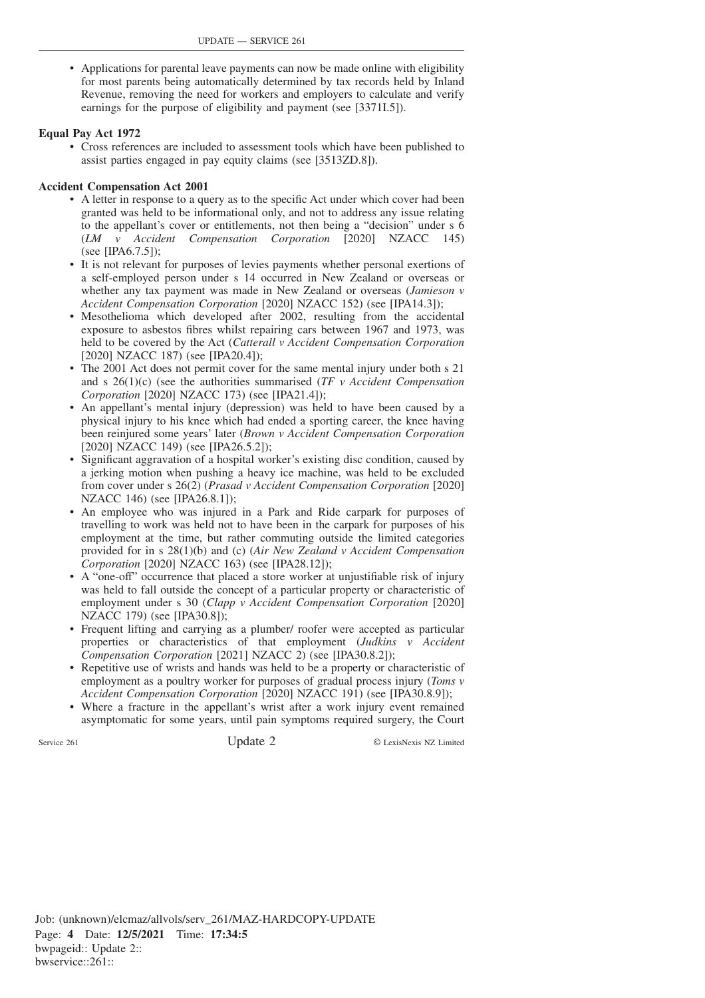• Applications for parental leave payments can now be made online with eligibility for most parents being automatically determined by tax records held by Inland Revenue, removing the need for workers and employers to calculate and verify earnings for the purpose of eligibility and payment (see [3371I.5]).

### **Equal Pay Act 1972**

• Cross references are included to assessment tools which have been published to assist parties engaged in pay equity claims (see [3513ZD.8]).

#### **Accident Compensation Act 2001**

- A letter in response to a query as to the specific Act under which cover had been granted was held to be informational only, and not to address any issue relating to the appellant's cover or entitlements, not then being a "decision" under s 6 (*LM v Accident Compensation Corporation* [2020] NZACC 145) (see [IPA6.7.5]);
- It is not relevant for purposes of levies payments whether personal exertions of a self-employed person under s 14 occurred in New Zealand or overseas or whether any tax payment was made in New Zealand or overseas (*Jamieson v Accident Compensation Corporation* [2020] NZACC 152) (see [IPA14.3]);
- Mesothelioma which developed after 2002, resulting from the accidental exposure to asbestos fibres whilst repairing cars between 1967 and 1973, was held to be covered by the Act (*Catterall v Accident Compensation Corporation* [2020] NZACC 187) (see [IPA20.4]);
- The 2001 Act does not permit cover for the same mental injury under both s 21 and s 26(1)(c) (see the authorities summarised (*TF v Accident Compensation Corporation* [2020] NZACC 173) (see [IPA21.4]);
- An appellant's mental injury (depression) was held to have been caused by a physical injury to his knee which had ended a sporting career, the knee having been reinjured some years' later (*Brown v Accident Compensation Corporation* [2020] NZACC 149) (see [IPA26.5.2]);
- Significant aggravation of a hospital worker's existing disc condition, caused by a jerking motion when pushing a heavy ice machine, was held to be excluded from cover under s 26(2) (*Prasad v Accident Compensation Corporation* [2020] NZACC 146) (see [IPA26.8.1]);
- An employee who was injured in a Park and Ride carpark for purposes of travelling to work was held not to have been in the carpark for purposes of his employment at the time, but rather commuting outside the limited categories provided for in s 28(1)(b) and (c) (*Air New Zealand v Accident Compensation Corporation* [2020] NZACC 163) (see [IPA28.12]);
- A "one-off" occurrence that placed a store worker at unjustifiable risk of injury was held to fall outside the concept of a particular property or characteristic of employment under s 30 (*Clapp v Accident Compensation Corporation* [2020] NZACC 179) (see [IPA30.8]);
- Frequent lifting and carrying as a plumber/ roofer were accepted as particular properties or characteristics of that employment (*Judkins v Accident Compensation Corporation* [2021] NZACC 2) (see [IPA30.8.2]);
- Repetitive use of wrists and hands was held to be a property or characteristic of employment as a poultry worker for purposes of gradual process injury (*Toms v Accident Compensation Corporation* [2020] NZACC 191) (see [IPA30.8.9]);
- Where a fracture in the appellant's wrist after a work injury event remained asymptomatic for some years, until pain symptoms required surgery, the Court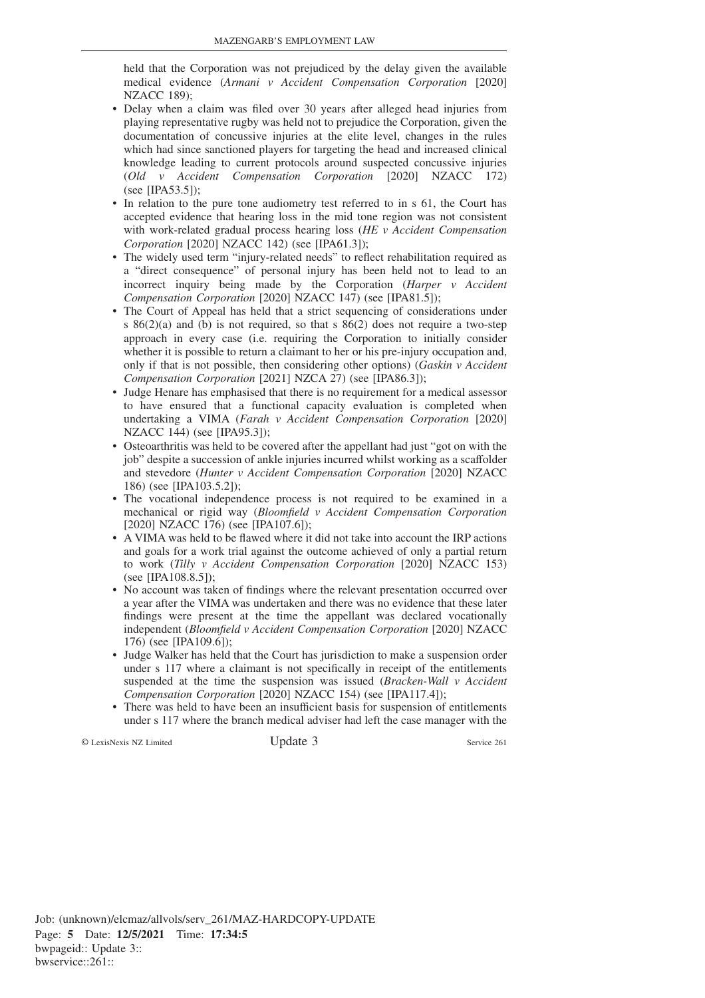held that the Corporation was not prejudiced by the delay given the available medical evidence (*Armani v Accident Compensation Corporation* [2020] NZACC 189);

- Delay when a claim was filed over 30 years after alleged head injuries from playing representative rugby was held not to prejudice the Corporation, given the documentation of concussive injuries at the elite level, changes in the rules which had since sanctioned players for targeting the head and increased clinical knowledge leading to current protocols around suspected concussive injuries (*Old v Accident Compensation Corporation* [2020] NZACC 172) (see [IPA53.5]);
- In relation to the pure tone audiometry test referred to in s 61, the Court has accepted evidence that hearing loss in the mid tone region was not consistent with work-related gradual process hearing loss (*HE v Accident Compensation Corporation* [2020] NZACC 142) (see [IPA61.3]);
- The widely used term "injury-related needs" to reflect rehabilitation required as a "direct consequence" of personal injury has been held not to lead to an incorrect inquiry being made by the Corporation (*Harper v Accident Compensation Corporation* [2020] NZACC 147) (see [IPA81.5]);
- The Court of Appeal has held that a strict sequencing of considerations under s 86(2)(a) and (b) is not required, so that s 86(2) does not require a two-step approach in every case (i.e. requiring the Corporation to initially consider whether it is possible to return a claimant to her or his pre-injury occupation and, only if that is not possible, then considering other options) (*Gaskin v Accident Compensation Corporation* [2021] NZCA 27) (see [IPA86.3]);
- Judge Henare has emphasised that there is no requirement for a medical assessor to have ensured that a functional capacity evaluation is completed when undertaking a VIMA (*Farah v Accident Compensation Corporation* [2020] NZACC 144) (see [IPA95.3]);
- Osteoarthritis was held to be covered after the appellant had just "got on with the job" despite a succession of ankle injuries incurred whilst working as a scaffolder and stevedore (*Hunter v Accident Compensation Corporation* [2020] NZACC 186) (see [IPA103.5.2]);
- The vocational independence process is not required to be examined in a mechanical or rigid way (*Bloomfield v Accident Compensation Corporation* [2020] NZACC 176) (see [IPA107.6]);
- A VIMA was held to be flawed where it did not take into account the IRP actions and goals for a work trial against the outcome achieved of only a partial return to work (*Tilly v Accident Compensation Corporation* [2020] NZACC 153) (see [IPA108.8.5]);
- No account was taken of findings where the relevant presentation occurred over a year after the VIMA was undertaken and there was no evidence that these later findings were present at the time the appellant was declared vocationally independent (*Bloomfield v Accident Compensation Corporation* [2020] NZACC 176) (see [IPA109.6]);
- Judge Walker has held that the Court has jurisdiction to make a suspension order under s 117 where a claimant is not specifically in receipt of the entitlements suspended at the time the suspension was issued (*Bracken-Wall v Accident Compensation Corporation* [2020] NZACC 154) (see [IPA117.4]);
- There was held to have been an insufficient basis for suspension of entitlements under s 117 where the branch medical adviser had left the case manager with the